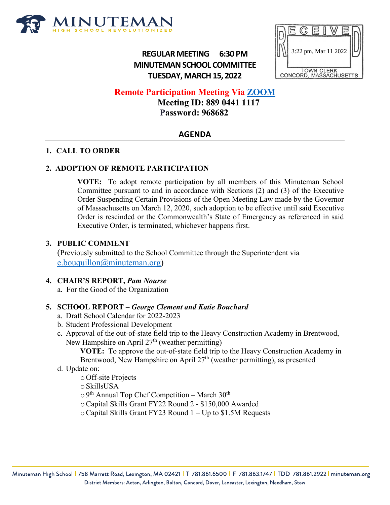

**REGULAR MEETING 6:30 PM MINUTEMAN SCHOOL COMMITTEE TUESDAY, MARCH 15, 2022**



# **Remote Participation Meeting Via [ZOOM](https://us06web.zoom.us/j/88904411117?pwd=ZVV4dkdBeGFLMnFnN0M2d3N1OTdNdz09)**

 **Meeting ID: 889 0441 1117 Password: 968682**

# **AGENDA**

## **1. CALL TO ORDER**

#### **2. ADOPTION OF REMOTE PARTICIPATION**

**VOTE:** To adopt remote participation by all members of this Minuteman School Committee pursuant to and in accordance with Sections (2) and (3) of the Executive Order Suspending Certain Provisions of the Open Meeting Law made by the Governor of Massachusetts on March 12, 2020, such adoption to be effective until said Executive Order is rescinded or the Commonwealth's State of Emergency as referenced in said Executive Order, is terminated, whichever happens first.

#### **3. PUBLIC COMMENT**

(Previously submitted to the School Committee through the Superintendent via [e.bouquillon@minuteman.org\)](mailto:e.bouquillon@minuteman.org)

#### **4. CHAIR'S REPORT,** *Pam Nourse*

a. For the Good of the Organization

# **5. SCHOOL REPORT –** *George Clement and Katie Bouchard*

- a. Draft School Calendar for 2022-2023
- b. Student Professional Development
- c. Approval of the out-of-state field trip to the Heavy Construction Academy in Brentwood, New Hampshire on April 27<sup>th</sup> (weather permitting)

**VOTE:** To approve the out-of-state field trip to the Heavy Construction Academy in Brentwood, New Hampshire on April  $27<sup>th</sup>$  (weather permitting), as presented

#### d. Update on:

o Off-site Projects

o SkillsUSA

 $\circ$  9<sup>th</sup> Annual Top Chef Competition – March 30<sup>th</sup>

- oCapital Skills Grant FY22 Round 2 \$150,000 Awarded
- oCapital Skills Grant FY23 Round 1 Up to \$1.5M Requests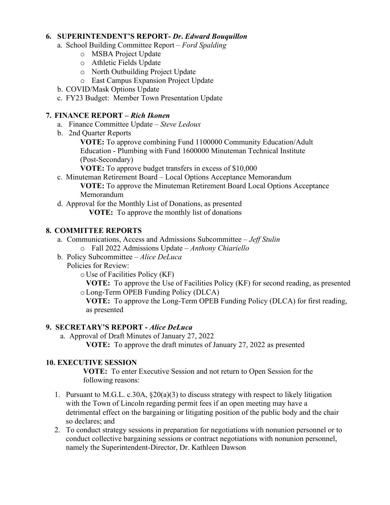#### **6. SUPERINTENDENT'S REPORT-** *Dr***.** *Edward Bouquillon*

- a. School Building Committee Report *Ford Spalding*
	- o MSBA Project Update
	- o Athletic Fields Update
	- o North Outbuilding Project Update
	- o East Campus Expansion Project Update
- b. COVID/Mask Options Update
- c. FY23 Budget: Member Town Presentation Update

#### **7. FINANCE REPORT** *– Rich Ikonen*

- a. Finance Committee Update *Steve Ledoux*
- b. 2nd Quarter Reports

**VOTE:** To approve combining Fund 1100000 Community Education/Adult Education - Plumbing with Fund 1600000 Minuteman Technical Institute (Post-Secondary)

**VOTE:** To approve budget transfers in excess of \$10,000

- c. Minuteman Retirement Board Local Options Acceptance Memorandum **VOTE:** To approve the Minuteman Retirement Board Local Options Acceptance Memorandum
- d. Approval for the Monthly List of Donations, as presented **VOTE:** To approve the monthly list of donations

## **8. COMMITTEE REPORTS**

- a. Communications, Access and Admissions Subcommittee *Jeff Stulin*
	- o Fall 2022 Admissions Update *Anthony Chiariello*
- b. Policy Subcommittee *Alice DeLuca*
	- Policies for Review:
		- o Use of Facilities Policy (KF)

**VOTE:** To approve the Use of Facilities Policy (KF) for second reading, as presented oLong-Term OPEB Funding Policy (DLCA)

**VOTE:** To approve the Long-Term OPEB Funding Policy (DLCA) for first reading, as presented

#### **9. SECRETARY'S REPORT -** *Alice DeLuca*

a. Approval of Draft Minutes of January 27, 2022

**VOTE:** To approve the draft minutes of January 27, 2022 as presented

#### **10. EXECUTIVE SESSION**

**VOTE:** To enter Executive Session and not return to Open Session for the following reasons:

- 1. Pursuant to M.G.L. c.30A,  $\S20(a)(3)$  to discuss strategy with respect to likely litigation with the Town of Lincoln regarding permit fees if an open meeting may have a detrimental effect on the bargaining or litigating position of the public body and the chair so declares; and
- 2. To conduct strategy sessions in preparation for negotiations with nonunion personnel or to conduct collective bargaining sessions or contract negotiations with nonunion personnel, namely the Superintendent-Director, Dr. Kathleen Dawson